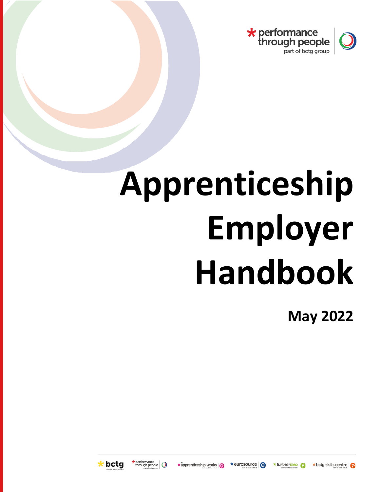

# **Apprenticeship Employer Handbook**

**May 2022**



performance<br>through people

\* apprenticeship works

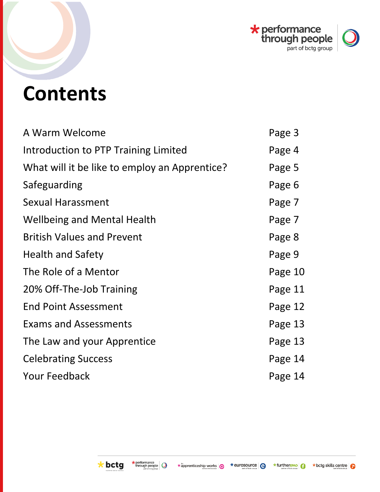

# **Contents**

| A Warm Welcome                                | Page 3  |
|-----------------------------------------------|---------|
| Introduction to PTP Training Limited          | Page 4  |
| What will it be like to employ an Apprentice? | Page 5  |
| Safeguarding                                  | Page 6  |
| Sexual Harassment                             | Page 7  |
| <b>Wellbeing and Mental Health</b>            | Page 7  |
| <b>British Values and Prevent</b>             | Page 8  |
| <b>Health and Safety</b>                      | Page 9  |
| The Role of a Mentor                          | Page 10 |
| 20% Off-The-Job Training                      | Page 11 |
| <b>End Point Assessment</b>                   | Page 12 |
| <b>Exams and Assessments</b>                  | Page 13 |
| The Law and your Apprentice                   | Page 13 |
| <b>Celebrating Success</b>                    | Page 14 |
| <b>Your Feedback</b>                          | Page 14 |

\*furtherEPAO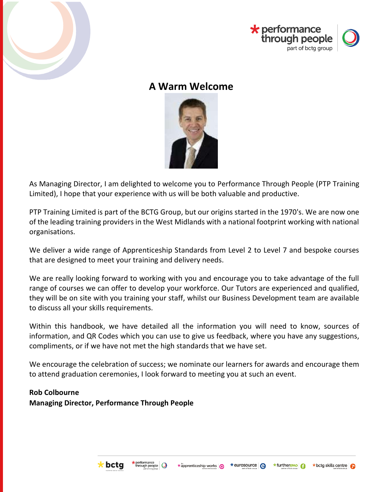



# **A Warm Welcome**



<span id="page-2-0"></span>As Managing Director, I am delighted to welcome you to Performance Through People (PTP Training Limited), I hope that your experience with us will be both valuable and productive.

PTP Training Limited is part of the BCTG Group, but our origins started in the 1970's. We are now one of the leading training providers in the West Midlands with a national footprint working with national organisations.

We deliver a wide range of Apprenticeship Standards from Level 2 to Level 7 and bespoke courses that are designed to meet your training and delivery needs.

We are really looking forward to working with you and encourage you to take advantage of the full range of courses we can offer to develop your workforce. Our Tutors are experienced and qualified, they will be on site with you training your staff, whilst our Business Development team are available to discuss all your skills requirements.

Within this handbook, we have detailed all the information you will need to know, sources of information, and QR Codes which you can use to give us feedback, where you have any suggestions, compliments, or if we have not met the high standards that we have set.

We encourage the celebration of success; we nominate our learners for awards and encourage them to attend graduation ceremonies, I look forward to meeting you at such an event.

#### **Rob Colbourne**

**Managing Director, Performance Through People**



\*furtherEPAO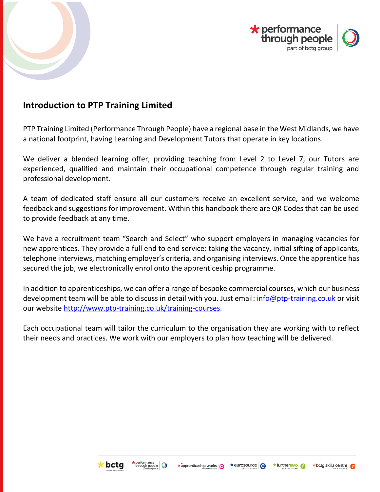



# <span id="page-3-0"></span>**Introduction to PTP Training Limited**

PTP Training Limited (Performance Through People) have a regional base in the West Midlands, we have a national footprint, having Learning and Development Tutors that operate in key locations.

We deliver a blended learning offer, providing teaching from Level 2 to Level 7, our Tutors are experienced, qualified and maintain their occupational competence through regular training and professional development.

A team of dedicated staff ensure all our customers receive an excellent service, and we welcome feedback and suggestions for improvement. Within this handbook there are QR Codes that can be used to provide feedback at any time.

We have a recruitment team "Search and Select" who support employers in managing vacancies for new apprentices. They provide a full end to end service: taking the vacancy, initial sifting of applicants, telephone interviews, matching employer's criteria, and organising interviews. Once the apprentice has secured the job, we electronically enrol onto the apprenticeship programme.

In addition to apprenticeships, we can offer a range of bespoke commercial courses, which our business development team will be able to discuss in detail with you. Just email: [info@ptp-training.co.uk](mailto:info@ptp-training.co.uk) or visit our website [http://www.ptp-training.co.uk/training-courses.](http://www.ptp-training.co.uk/training-courses)

Each occupational team will tailor the curriculum to the organisation they are working with to reflect their needs and practices. We work with our employers to plan how teaching will be delivered.



\*furtherEPAO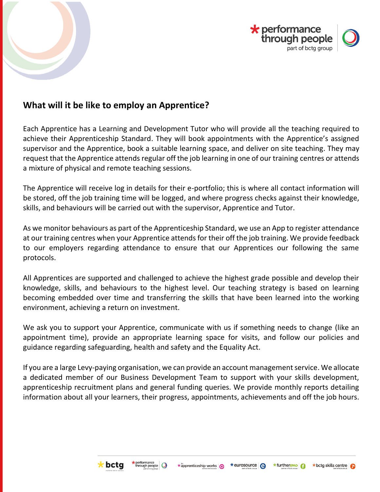



# <span id="page-4-0"></span>**What will it be like to employ an Apprentice?**

Each Apprentice has a Learning and Development Tutor who will provide all the teaching required to achieve their Apprenticeship Standard. They will book appointments with the Apprentice's assigned supervisor and the Apprentice, book a suitable learning space, and deliver on site teaching. They may request that the Apprentice attends regular off the job learning in one of our training centres or attends a mixture of physical and remote teaching sessions.

The Apprentice will receive log in details for their e-portfolio; this is where all contact information will be stored, off the job training time will be logged, and where progress checks against their knowledge, skills, and behaviours will be carried out with the supervisor, Apprentice and Tutor.

As we monitor behaviours as part of the Apprenticeship Standard, we use an App to register attendance at our training centres when your Apprentice attends for their off the job training. We provide feedback to our employers regarding attendance to ensure that our Apprentices our following the same protocols.

All Apprentices are supported and challenged to achieve the highest grade possible and develop their knowledge, skills, and behaviours to the highest level. Our teaching strategy is based on learning becoming embedded over time and transferring the skills that have been learned into the working environment, achieving a return on investment.

We ask you to support your Apprentice, communicate with us if something needs to change (like an appointment time), provide an appropriate learning space for visits, and follow our policies and guidance regarding safeguarding, health and safety and the Equality Act.

If you are a large Levy-paying organisation, we can provide an account management service. We allocate a dedicated member of our Business Development Team to support with your skills development, apprenticeship recruitment plans and general funding queries. We provide monthly reports detailing information about all your learners, their progress, appointments, achievements and off the job hours.

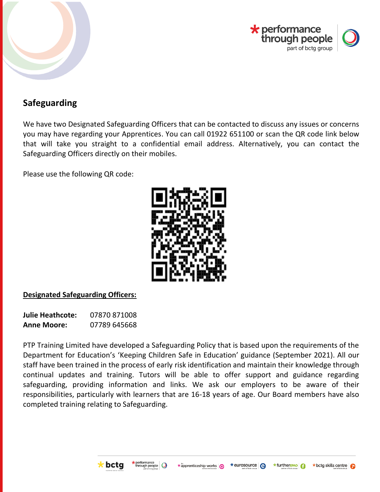



# <span id="page-5-0"></span>**Safeguarding**

We have two Designated Safeguarding Officers that can be contacted to discuss any issues or concerns you may have regarding your Apprentices. You can call 01922 651100 or scan the QR code link below that will take you straight to a confidential email address. Alternatively, you can contact the Safeguarding Officers directly on their mobiles.

Please use the following QR code:



#### **Designated Safeguarding Officers:**

**Julie Heathcote:** 07870 871008 **Anne Moore:** 07789 645668

PTP Training Limited have developed a Safeguarding Policy that is based upon the requirements of the Department for Education's 'Keeping Children Safe in Education' guidance (September 2021). All our staff have been trained in the process of early risk identification and maintain their knowledge through continual updates and training. Tutors will be able to offer support and guidance regarding safeguarding, providing information and links. We ask our employers to be aware of their responsibilities, particularly with learners that are 16-18 years of age. Our Board members have also completed training relating to Safeguarding.



\*furtherEPAO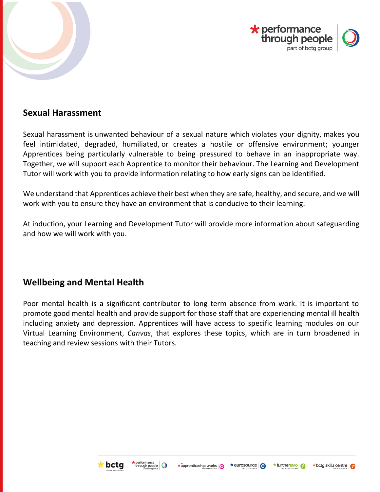



# <span id="page-6-0"></span>**Sexual Harassment**

Sexual harassment is unwanted behaviour of a sexual nature which violates your dignity, makes you feel intimidated, degraded, humiliated, or creates a hostile or offensive environment; younger Apprentices being particularly vulnerable to being pressured to behave in an inappropriate way. Together, we will support each Apprentice to monitor their behaviour. The Learning and Development Tutor will work with you to provide information relating to how early signs can be identified.

We understand that Apprentices achieve their best when they are safe, healthy, and secure, and we will work with you to ensure they have an environment that is conducive to their learning.

At induction, your Learning and Development Tutor will provide more information about safeguarding and how we will work with you.

# <span id="page-6-1"></span>**Wellbeing and Mental Health**

Poor mental health is a significant contributor to long term absence from work. It is important to promote good mental health and provide support for those staff that are experiencing mental ill health including anxiety and depression. Apprentices will have access to specific learning modules on our Virtual Learning Environment, *Canvas*, that explores these topics, which are in turn broadened in teaching and review sessions with their Tutors.



\*furtherEPAO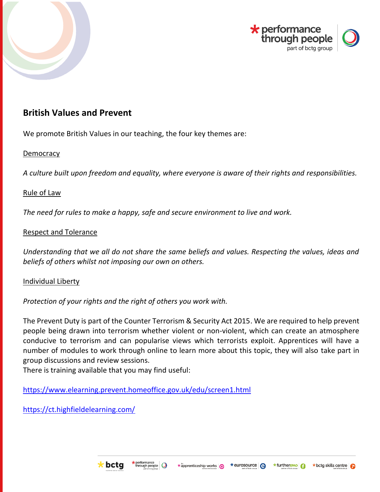



# <span id="page-7-0"></span>**British Values and Prevent**

We promote British Values in our teaching, the four key themes are:

#### **Democracy**

*A culture built upon freedom and equality, where everyone is aware of their rights and responsibilities.*

#### Rule of Law

*The need for rules to make a happy, safe and secure environment to live and work.*

#### Respect and Tolerance

*Understanding that we all do not share the same beliefs and values. Respecting the values, ideas and beliefs of others whilst not imposing our own on others.*

#### Individual Liberty

*Protection of your rights and the right of others you work with.*

The Prevent Duty is part of the Counter Terrorism & Security Act 2015. We are required to help prevent people being drawn into terrorism whether violent or non-violent, which can create an atmosphere conducive to terrorism and can popularise views which terrorists exploit. Apprentices will have a number of modules to work through online to learn more about this topic, they will also take part in group discussions and review sessions.

There is training available that you may find useful:

<https://www.elearning.prevent.homeoffice.gov.uk/edu/screen1.html>

<https://ct.highfieldelearning.com/>



\*eurosource **A** \* furtherEPAO

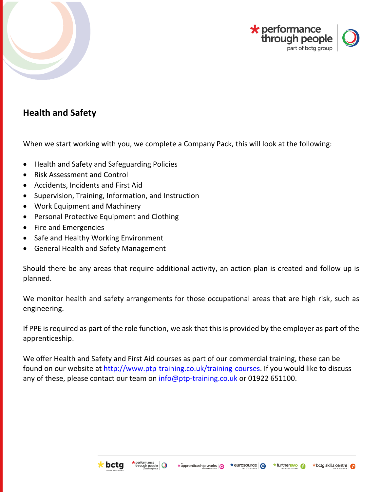



# <span id="page-8-0"></span>**Health and Safety**

When we start working with you, we complete a Company Pack, this will look at the following:

- Health and Safety and Safeguarding Policies
- Risk Assessment and Control
- Accidents, Incidents and First Aid
- Supervision, Training, Information, and Instruction
- Work Equipment and Machinery
- Personal Protective Equipment and Clothing
- Fire and Emergencies
- Safe and Healthy Working Environment
- General Health and Safety Management

Should there be any areas that require additional activity, an action plan is created and follow up is planned.

We monitor health and safety arrangements for those occupational areas that are high risk, such as engineering.

If PPE is required as part of the role function, we ask that this is provided by the employer as part of the apprenticeship.

We offer Health and Safety and First Aid courses as part of our commercial training, these can be found on our website at [http://www.ptp-training.co.uk/training-courses.](http://www.ptp-training.co.uk/training-courses) If you would like to discuss any of these, please contact our team on [info@ptp-training.co.uk](mailto:info@ptp-training.co.uk) or 01922 651100.



\*furtherEPAO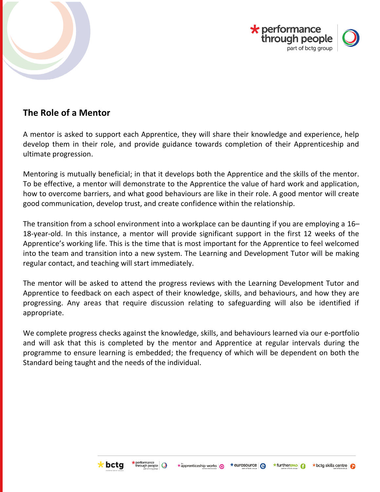



# <span id="page-9-0"></span>**The Role of a Mentor**

A mentor is asked to support each Apprentice, they will share their knowledge and experience, help develop them in their role, and provide guidance towards completion of their Apprenticeship and ultimate progression.

Mentoring is mutually beneficial; in that it develops both the Apprentice and the skills of the mentor. To be effective, a mentor will demonstrate to the Apprentice the value of hard work and application, how to overcome barriers, and what good behaviours are like in their role. A good mentor will create good communication, develop trust, and create confidence within the relationship.

The transition from a school environment into a workplace can be daunting if you are employing a 16– 18-year-old. In this instance, a mentor will provide significant support in the first 12 weeks of the Apprentice's working life. This is the time that is most important for the Apprentice to feel welcomed into the team and transition into a new system. The Learning and Development Tutor will be making regular contact, and teaching will start immediately.

The mentor will be asked to attend the progress reviews with the Learning Development Tutor and Apprentice to feedback on each aspect of their knowledge, skills, and behaviours, and how they are progressing. Any areas that require discussion relating to safeguarding will also be identified if appropriate.

We complete progress checks against the knowledge, skills, and behaviours learned via our e-portfolio and will ask that this is completed by the mentor and Apprentice at regular intervals during the programme to ensure learning is embedded; the frequency of which will be dependent on both the Standard being taught and the needs of the individual.



\*furtherEPAO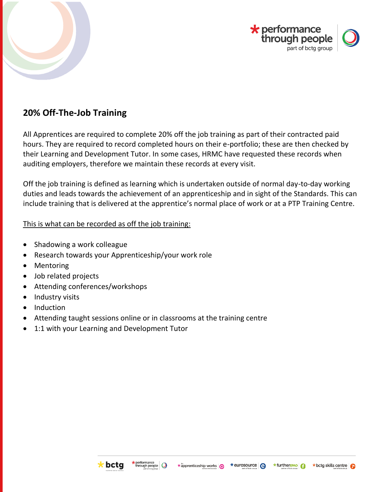



# <span id="page-10-0"></span>**20% Off-The-Job Training**

All Apprentices are required to complete 20% off the job training as part of their contracted paid hours. They are required to record completed hours on their e-portfolio; these are then checked by their Learning and Development Tutor. In some cases, HRMC have requested these records when auditing employers, therefore we maintain these records at every visit.

Off the job training is defined as learning which is undertaken outside of normal day-to-day working duties and leads towards the achievement of an apprenticeship and in sight of the Standards. This can include training that is delivered at the apprentice's normal place of work or at a PTP Training Centre.

#### This is what can be recorded as off the job training:

- Shadowing a work colleague
- Research towards your Apprenticeship/your work role
- Mentoring
- Job related projects
- Attending conferences/workshops
- Industry visits
- Induction
- Attending taught sessions online or in classrooms at the training centre
- 1:1 with your Learning and Development Tutor



\n`source` 
$$
^
$$
 *★* further **FAO**  $^$ \n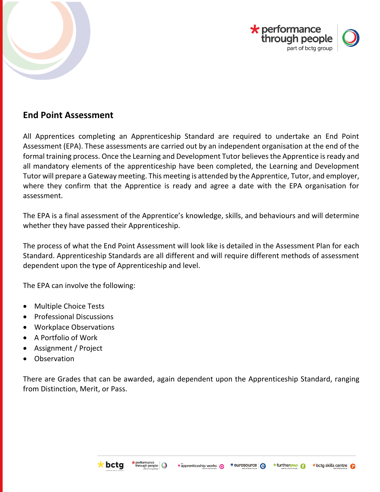



# <span id="page-11-0"></span>**End Point Assessment**

All Apprentices completing an Apprenticeship Standard are required to undertake an End Point Assessment (EPA). These assessments are carried out by an independent organisation at the end of the formal training process. Once the Learning and Development Tutor believes the Apprentice is ready and all mandatory elements of the apprenticeship have been completed, the Learning and Development Tutor will prepare a Gateway meeting. This meeting is attended by the Apprentice, Tutor, and employer, where they confirm that the Apprentice is ready and agree a date with the EPA organisation for assessment.

The EPA is a final assessment of the Apprentice's knowledge, skills, and behaviours and will determine whether they have passed their Apprenticeship.

The process of what the End Point Assessment will look like is detailed in the Assessment Plan for each Standard. Apprenticeship Standards are all different and will require different methods of assessment dependent upon the type of Apprenticeship and level.

The EPA can involve the following:

- Multiple Choice Tests
- Professional Discussions
- Workplace Observations
- A Portfolio of Work
- Assignment / Project
- **Observation**

There are Grades that can be awarded, again dependent upon the Apprenticeship Standard, ranging from Distinction, Merit, or Pass.





$$
\star \text{further}_{\text{B4T}} \big| \bigcirc
$$

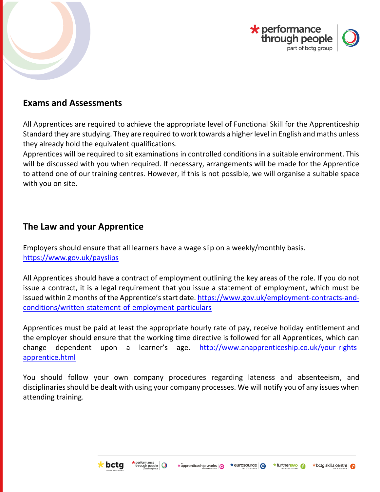



### <span id="page-12-0"></span>**Exams and Assessments**

All Apprentices are required to achieve the appropriate level of Functional Skill for the Apprenticeship Standard they are studying. They are required to work towards a higher level in English and maths unless they already hold the equivalent qualifications.

Apprentices will be required to sit examinations in controlled conditions in a suitable environment. This will be discussed with you when required. If necessary, arrangements will be made for the Apprentice to attend one of our training centres. However, if this is not possible, we will organise a suitable space with you on site.

# <span id="page-12-1"></span>**The Law and your Apprentice**

Employers should ensure that all learners have a wage slip on a weekly/monthly basis. <https://www.gov.uk/payslips>

All Apprentices should have a contract of employment outlining the key areas of the role. If you do not issue a contract, it is a legal requirement that you issue a statement of employment, which must be issued within 2 months of the Apprentice's start date. [https://www.gov.uk/employment-contracts-and](https://www.gov.uk/employment-contracts-and-conditions/written-statement-of-employment-particulars)[conditions/written-statement-of-employment-particulars](https://www.gov.uk/employment-contracts-and-conditions/written-statement-of-employment-particulars)

Apprentices must be paid at least the appropriate hourly rate of pay, receive holiday entitlement and the employer should ensure that the working time directive is followed for all Apprentices, which can change dependent upon a learner's age. [http://www.anapprenticeship.co.uk/your-rights](http://www.anapprenticeship.co.uk/your-rights-apprentice.html)[apprentice.html](http://www.anapprenticeship.co.uk/your-rights-apprentice.html)

You should follow your own company procedures regarding lateness and absenteeism, and disciplinaries should be dealt with using your company processes. We will notify you of any issues when attending training.



\*furtherEPAO